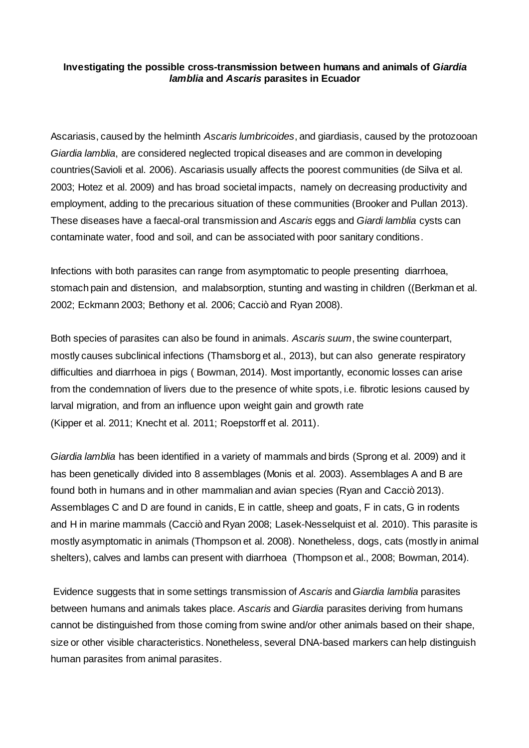## **Investigating the possible cross-transmission between humans and animals of** *Giardia lamblia* **and** *Ascaris* **parasites in Ecuador**

Ascariasis, caused by the helminth *Ascaris lumbricoides*, and giardiasis, caused by the protozooan *Giardia lamblia*, are considered neglected tropical diseases and are common in developing countries(Savioli et al. 2006). Ascariasis usually affects the poorest communities (de Silva et al. 2003; Hotez et al. 2009) and has broad societal impacts, namely on decreasing productivity and employment, adding to the precarious situation of these communities (Brooker and Pullan 2013). These diseases have a faecal-oral transmission and *Ascaris* eggs and *Giardi lamblia* cysts can contaminate water, food and soil, and can be associated with poor sanitary conditions.

Infections with both parasites can range from asymptomatic to people presenting diarrhoea, stomach pain and distension, and malabsorption, stunting and wasting in children ((Berkman et al. 2002; Eckmann 2003; Bethony et al. 2006; Cacciò and Ryan 2008).

Both species of parasites can also be found in animals. *Ascaris suum*, the swine counterpart, mostly causes subclinical infections (Thamsborg et al., 2013), but can also generate respiratory difficulties and diarrhoea in pigs ( Bowman, 2014). Most importantly, economic losses can arise from the condemnation of livers due to the presence of white spots, i.e. fibrotic lesions caused by larval migration, and from an influence upon weight gain and growth rate (Kipper et al. 2011; Knecht et al. 2011; Roepstorff et al. 2011).

*Giardia lamblia* has been identified in a variety of mammals and birds (Sprong et al. 2009) and it has been genetically divided into 8 assemblages (Monis et al. 2003). Assemblages A and B are found both in humans and in other mammalian and avian species (Ryan and Cacciò 2013). Assemblages C and D are found in canids, E in cattle, sheep and goats, F in cats, G in rodents and H in marine mammals (Cacciò and Ryan 2008; Lasek-Nesselquist et al. 2010). This parasite is mostly asymptomatic in animals (Thompson et al. 2008). Nonetheless, dogs, cats (mostly in animal shelters), calves and lambs can present with diarrhoea (Thompson et al., 2008; Bowman, 2014).

Evidence suggests that in some settings transmission of *Ascaris* and *Giardia lamblia* parasites between humans and animals takes place. *Ascaris* and *Giardia* parasites deriving from humans cannot be distinguished from those coming from swine and/or other animals based on their shape, size or other visible characteristics. Nonetheless, several DNA-based markers can help distinguish human parasites from animal parasites.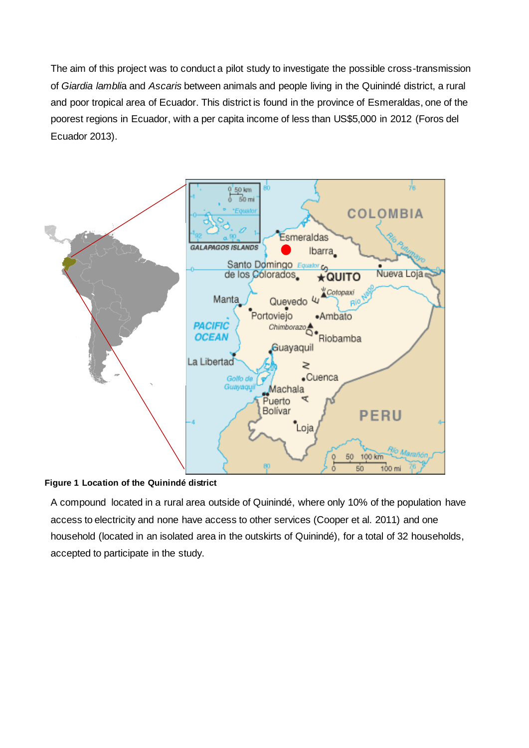The aim of this project was to conduct a pilot study to investigate the possible cross-transmission of *Giardia lambli*a and *Ascaris* between animals and people living in the Quinindé district, a rural and poor tropical area of Ecuador. This district is found in the province of Esmeraldas, one of the poorest regions in Ecuador, with a per capita income of less than US\$5,000 in 2012 (Foros del Ecuador 2013).



## **Figure 1 Location of the Quinindé district**

A compound located in a rural area outside of Quinindé, where only 10% of the population have access to electricity and none have access to other services (Cooper et al. 2011) and one household (located in an isolated area in the outskirts of Quinindé), for a total of 32 households, accepted to participate in the study.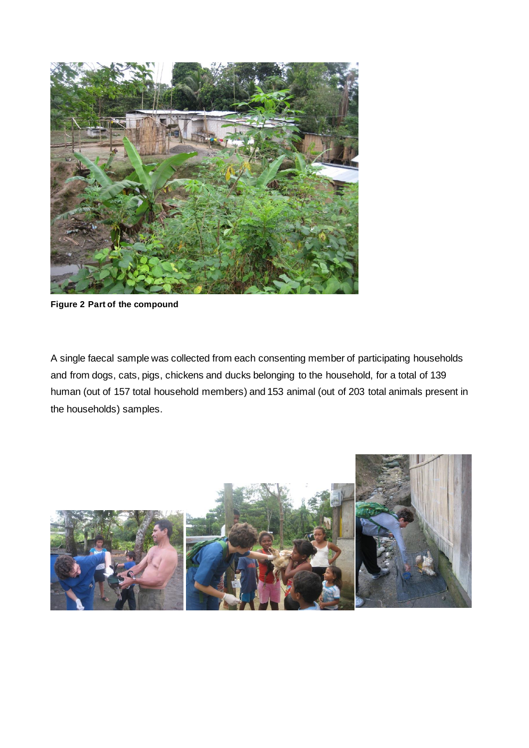

**Figure 2 Part of the compound**

A single faecal sample was collected from each consenting member of participating households and from dogs, cats, pigs, chickens and ducks belonging to the household, for a total of 139 human (out of 157 total household members) and 153 animal (out of 203 total animals present in the households) samples.

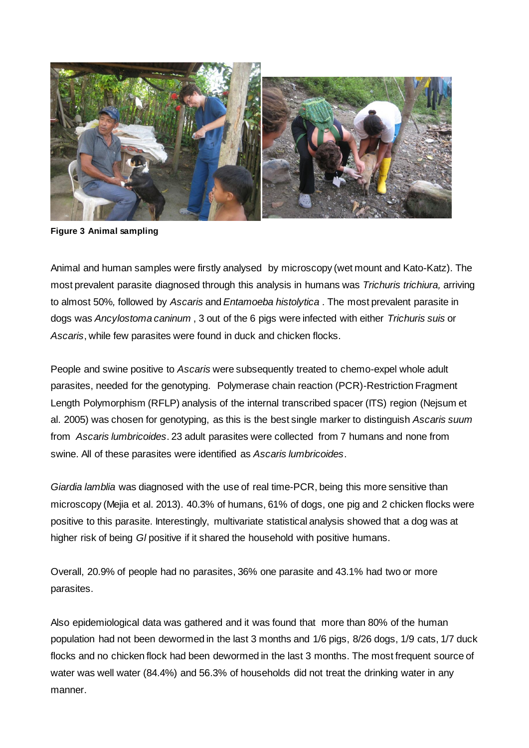

**Figure 3 Animal sampling**

Animal and human samples were firstly analysed by microscopy (wet mount and Kato-Katz). The most prevalent parasite diagnosed through this analysis in humans was *Trichuris trichiura,* arriving to almost 50%*,* followed by *Ascaris* and *Entamoeba histolytica* . The most prevalent parasite in dogs was *Ancylostoma caninum* , 3 out of the 6 pigs were infected with either *Trichuris suis* or *Ascaris*, while few parasites were found in duck and chicken flocks.

People and swine positive to *Ascaris* were subsequently treated to chemo-expel whole adult parasites, needed for the genotyping. Polymerase chain reaction (PCR)-Restriction Fragment Length Polymorphism (RFLP) analysis of the internal transcribed spacer (ITS) region (Nejsum et al. 2005) was chosen for genotyping, as this is the best single marker to distinguish *Ascaris suum*  from *Ascaris lumbricoides*. 23 adult parasites were collected from 7 humans and none from swine. All of these parasites were identified as *Ascaris lumbricoides*.

*Giardia lamblia* was diagnosed with the use of real time-PCR, being this more sensitive than microscopy (Mejia et al. 2013). 40.3% of humans, 61% of dogs, one pig and 2 chicken flocks were positive to this parasite. Interestingly, multivariate statistical analysis showed that a dog was at higher risk of being *Gl* positive if it shared the household with positive humans.

Overall, 20.9% of people had no parasites, 36% one parasite and 43.1% had two or more parasites.

Also epidemiological data was gathered and it was found that more than 80% of the human population had not been dewormed in the last 3 months and 1/6 pigs, 8/26 dogs, 1/9 cats, 1/7 duck flocks and no chicken flock had been dewormed in the last 3 months. The most frequent source of water was well water (84.4%) and 56.3% of households did not treat the drinking water in any manner.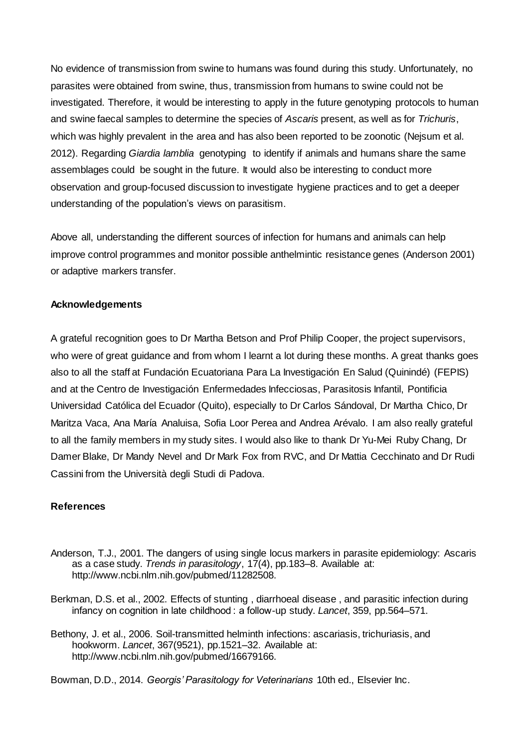No evidence of transmission from swine to humans was found during this study. Unfortunately, no parasites were obtained from swine, thus, transmission from humans to swine could not be investigated. Therefore, it would be interesting to apply in the future genotyping protocols to human and swine faecal samples to determine the species of *Ascaris* present, as well as for *Trichuris*, which was highly prevalent in the area and has also been reported to be zoonotic (Nejsum et al. 2012). Regarding *Giardia lamblia* genotyping to identify if animals and humans share the same assemblages could be sought in the future. It would also be interesting to conduct more observation and group-focused discussion to investigate hygiene practices and to get a deeper understanding of the population's views on parasitism.

Above all, understanding the different sources of infection for humans and animals can help improve control programmes and monitor possible anthelmintic resistance genes (Anderson 2001) or adaptive markers transfer.

## **Acknowledgements**

A grateful recognition goes to Dr Martha Betson and Prof Philip Cooper, the project supervisors, who were of great guidance and from whom I learnt a lot during these months. A great thanks goes also to all the staff at Fundación Ecuatoriana Para La Investigación En Salud (Quinindé) (FEPIS) and at the Centro de Investigación Enfermedades Infecciosas, Parasitosis Infantil, Pontificia Universidad Católica del Ecuador (Quito), especially to Dr Carlos Sándoval, Dr Martha Chico, Dr Maritza Vaca, Ana María Analuisa, Sofia Loor Perea and Andrea Arévalo. I am also really grateful to all the family members in my study sites. I would also like to thank Dr Yu-Mei Ruby Chang, Dr Damer Blake, Dr Mandy Nevel and Dr Mark Fox from RVC, and Dr Mattia Cecchinato and Dr Rudi Cassini from the Università degli Studi di Padova.

## **References**

- Anderson, T.J., 2001. The dangers of using single locus markers in parasite epidemiology: Ascaris as a case study. *Trends in parasitology*, 17(4), pp.183–8. Available at: http://www.ncbi.nlm.nih.gov/pubmed/11282508.
- Berkman, D.S. et al., 2002. Effects of stunting , diarrhoeal disease , and parasitic infection during infancy on cognition in late childhood : a follow-up study. *Lancet*, 359, pp.564–571.
- Bethony, J. et al., 2006. Soil-transmitted helminth infections: ascariasis, trichuriasis, and hookworm. *Lancet*, 367(9521), pp.1521–32. Available at: http://www.ncbi.nlm.nih.gov/pubmed/16679166.

Bowman, D.D., 2014. *Georgis' Parasitology for Veterinarians* 10th ed., Elsevier Inc.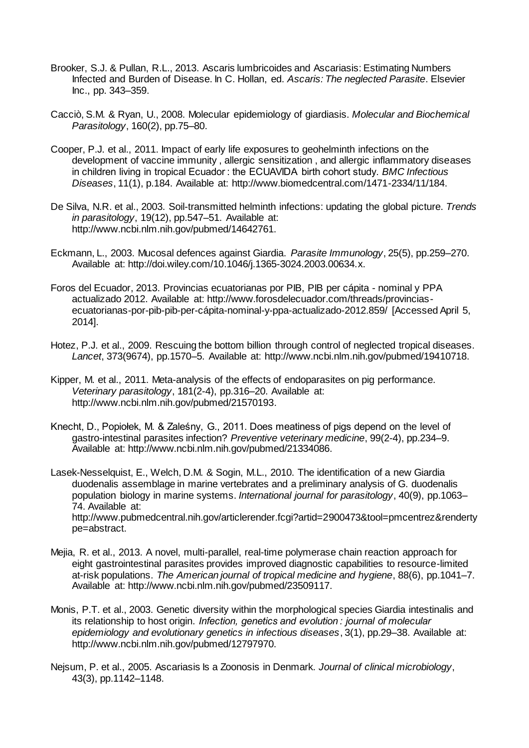- Brooker, S.J. & Pullan, R.L., 2013. Ascaris lumbricoides and Ascariasis: Estimating Numbers Infected and Burden of Disease. In C. Hollan, ed. *Ascaris: The neglected Parasite*. Elsevier Inc., pp. 343–359.
- Cacciò, S.M. & Ryan, U., 2008. Molecular epidemiology of giardiasis. *Molecular and Biochemical Parasitology*, 160(2), pp.75–80.
- Cooper, P.J. et al., 2011. Impact of early life exposures to geohelminth infections on the development of vaccine immunity , allergic sensitization , and allergic inflammatory diseases in children living in tropical Ecuador : the ECUAVIDA birth cohort study. *BMC Infectious Diseases*, 11(1), p.184. Available at: http://www.biomedcentral.com/1471-2334/11/184.
- De Silva, N.R. et al., 2003. Soil-transmitted helminth infections: updating the global picture. *Trends in parasitology*, 19(12), pp.547–51. Available at: http://www.ncbi.nlm.nih.gov/pubmed/14642761.
- Eckmann, L., 2003. Mucosal defences against Giardia. *Parasite Immunology*, 25(5), pp.259–270. Available at: http://doi.wiley.com/10.1046/j.1365-3024.2003.00634.x.
- Foros del Ecuador, 2013. Provincias ecuatorianas por PIB, PIB per cápita nominal y PPA actualizado 2012. Available at: http://www.forosdelecuador.com/threads/provinciasecuatorianas-por-pib-pib-per-cápita-nominal-y-ppa-actualizado-2012.859/ [Accessed April 5, 2014].
- Hotez, P.J. et al., 2009. Rescuing the bottom billion through control of neglected tropical diseases. *Lancet*, 373(9674), pp.1570–5. Available at: http://www.ncbi.nlm.nih.gov/pubmed/19410718.
- Kipper, M. et al., 2011. Meta-analysis of the effects of endoparasites on pig performance. *Veterinary parasitology*, 181(2-4), pp.316–20. Available at: http://www.ncbi.nlm.nih.gov/pubmed/21570193.
- Knecht, D., Popiołek, M. & Zaleśny, G., 2011. Does meatiness of pigs depend on the level of gastro-intestinal parasites infection? *Preventive veterinary medicine*, 99(2-4), pp.234–9. Available at: http://www.ncbi.nlm.nih.gov/pubmed/21334086.
- Lasek-Nesselquist, E., Welch, D.M. & Sogin, M.L., 2010. The identification of a new Giardia duodenalis assemblage in marine vertebrates and a preliminary analysis of G. duodenalis population biology in marine systems. *International journal for parasitology*, 40(9), pp.1063– 74. Available at: http://www.pubmedcentral.nih.gov/articlerender.fcgi?artid=2900473&tool=pmcentrez&renderty pe=abstract.
- Mejia, R. et al., 2013. A novel, multi-parallel, real-time polymerase chain reaction approach for eight gastrointestinal parasites provides improved diagnostic capabilities to resource-limited at-risk populations. *The American journal of tropical medicine and hygiene*, 88(6), pp.1041–7. Available at: http://www.ncbi.nlm.nih.gov/pubmed/23509117.
- Monis, P.T. et al., 2003. Genetic diversity within the morphological species Giardia intestinalis and its relationship to host origin. *Infection, genetics and evolution : journal of molecular epidemiology and evolutionary genetics in infectious diseases*, 3(1), pp.29–38. Available at: http://www.ncbi.nlm.nih.gov/pubmed/12797970.
- Nejsum, P. et al., 2005. Ascariasis Is a Zoonosis in Denmark. *Journal of clinical microbiology*, 43(3), pp.1142–1148.